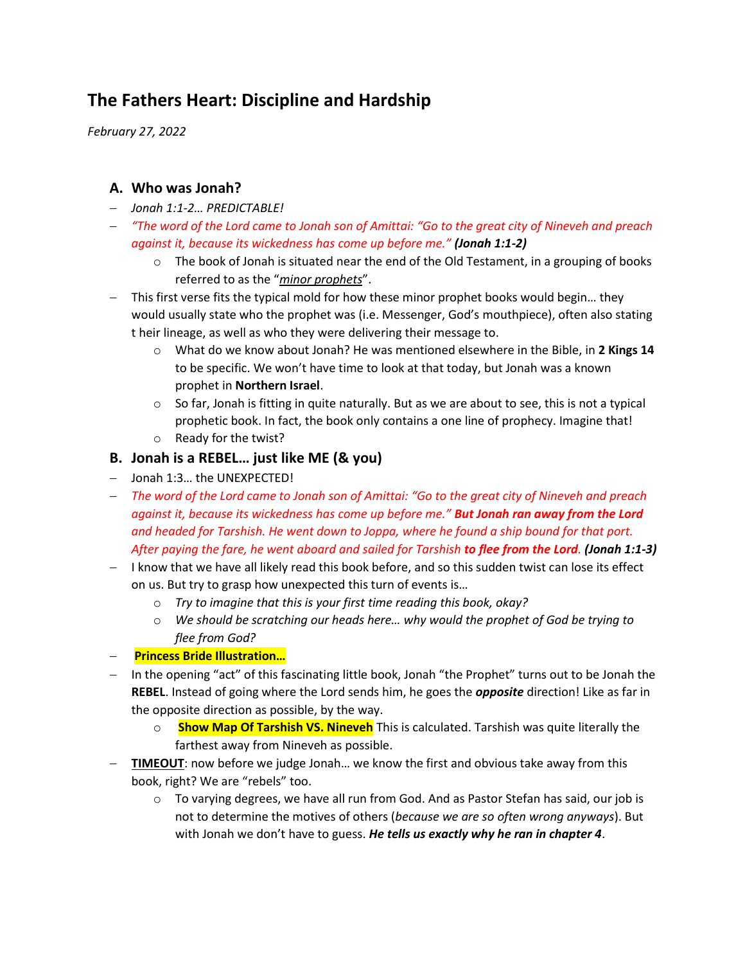# **The Fathers Heart: Discipline and Hardship**

*February 27, 2022*

# **A. Who was Jonah?**

- − *Jonah 1:1-2… PREDICTABLE!*
- − *"The word of the Lord came to Jonah son of Amittai: "Go to the great city of Nineveh and preach against it, because its wickedness has come up before me." (Jonah 1:1-2)*
	- $\circ$  The book of Jonah is situated near the end of the Old Testament, in a grouping of books referred to as the "*minor prophets*".
- − This first verse fits the typical mold for how these minor prophet books would begin… they would usually state who the prophet was (i.e. Messenger, God's mouthpiece), often also stating t heir lineage, as well as who they were delivering their message to.
	- o What do we know about Jonah? He was mentioned elsewhere in the Bible, in **2 Kings 14** to be specific. We won't have time to look at that today, but Jonah was a known prophet in **Northern Israel**.
	- $\circ$  So far, Jonah is fitting in quite naturally. But as we are about to see, this is not a typical prophetic book. In fact, the book only contains a one line of prophecy. Imagine that!
	- o Ready for the twist?

#### **B. Jonah is a REBEL… just like ME (& you)**

- − Jonah 1:3… the UNEXPECTED!
- − *The word of the Lord came to Jonah son of Amittai: "Go to the great city of Nineveh and preach against it, because its wickedness has come up before me." But Jonah ran away from the Lord and headed for Tarshish. He went down to Joppa, where he found a ship bound for that port. After paying the fare, he went aboard and sailed for Tarshish to flee from the Lord. (Jonah 1:1-3)*
- − I know that we have all likely read this book before, and so this sudden twist can lose its effect on us. But try to grasp how unexpected this turn of events is…
	- o *Try to imagine that this is your first time reading this book, okay?*
	- o *We should be scratching our heads here… why would the prophet of God be trying to flee from God?*
- − **Princess Bride Illustration…**
- − In the opening "act" of this fascinating little book, Jonah "the Prophet" turns out to be Jonah the **REBEL**. Instead of going where the Lord sends him, he goes the *opposite* direction! Like as far in the opposite direction as possible, by the way.
	- o **Show Map Of Tarshish VS. Nineveh** This is calculated. Tarshish was quite literally the farthest away from Nineveh as possible.
- − **TIMEOUT**: now before we judge Jonah… we know the first and obvious take away from this book, right? We are "rebels" too.
	- $\circ$  To varying degrees, we have all run from God. And as Pastor Stefan has said, our job is not to determine the motives of others (*because we are so often wrong anyways*). But with Jonah we don't have to guess. *He tells us exactly why he ran in chapter 4*.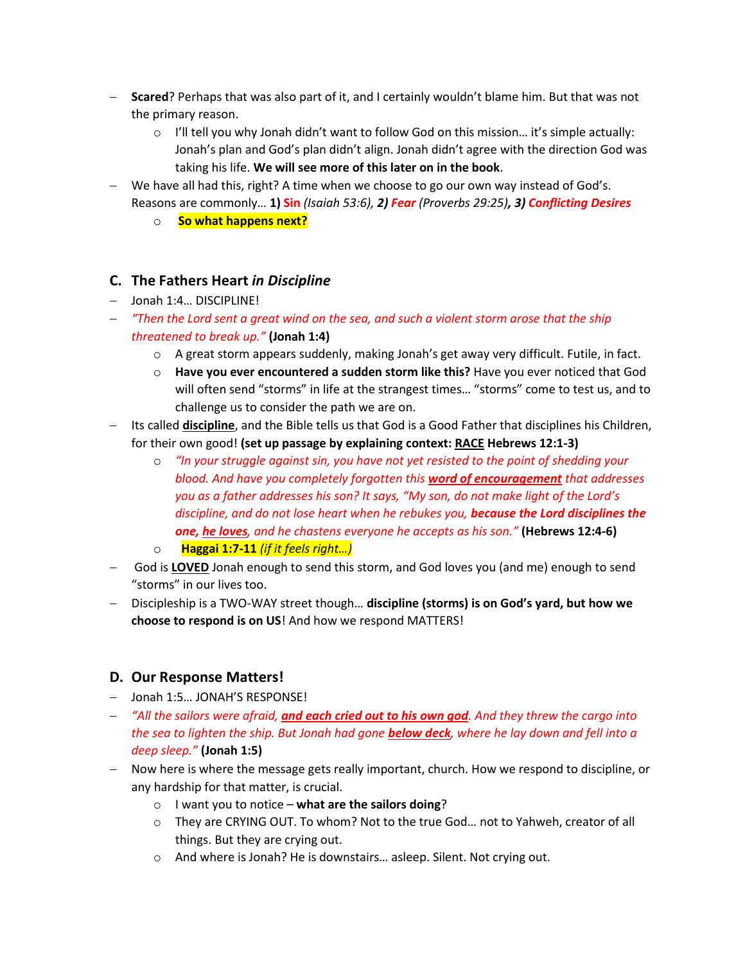- − **Scared**? Perhaps that was also part of it, and I certainly wouldn't blame him. But that was not the primary reason.
	- $\circ$  I'll tell you why Jonah didn't want to follow God on this mission... it's simple actually: Jonah's plan and God's plan didn't align. Jonah didn't agree with the direction God was taking his life. **We will see more of this later on in the book**.
- − We have all had this, right? A time when we choose to go our own way instead of God's. Reasons are commonly… **1) Sin** *(Isaiah 53:6), 2) Fear (Proverbs 29:25), 3) Conflicting Desires*
	- o **So what happens next?**

# **C. The Fathers Heart** *in Discipline*

- − Jonah 1:4… DISCIPLINE!
- − *"Then the Lord sent a great wind on the sea, and such a violent storm arose that the ship threatened to break up."* **(Jonah 1:4)**
	- $\circ$  A great storm appears suddenly, making Jonah's get away very difficult. Futile, in fact.
	- o **Have you ever encountered a sudden storm like this?** Have you ever noticed that God will often send "storms" in life at the strangest times… "storms" come to test us, and to challenge us to consider the path we are on.
- − Its called **discipline**, and the Bible tells us that God is a Good Father that disciplines his Children, for their own good! **(set up passage by explaining context: RACE Hebrews 12:1-3)**
	- o *"In your struggle against sin, you have not yet resisted to the point of shedding your blood. And have you completely forgotten this word of encouragement that addresses you as a father addresses his son? It says, "My son, do not make light of the Lord's discipline, and do not lose heart when he rebukes you, because the Lord disciplines the one, he loves, and he chastens everyone he accepts as his son."* **(Hebrews 12:4-6)**
	- o**Haggai 1:7-11** *(if it feels right…)*
- − God is **LOVED** Jonah enough to send this storm, and God loves you (and me) enough to send "storms" in our lives too.
- − Discipleship is a TWO-WAY street though… **discipline (storms) is on God's yard, but how we choose to respond is on US**! And how we respond MATTERS!

### **D. Our Response Matters!**

- − Jonah 1:5… JONAH'S RESPONSE!
- − *"All the sailors were afraid, and each cried out to his own god. And they threw the cargo into the sea to lighten the ship. But Jonah had gone below deck, where he lay down and fell into a deep sleep."* **(Jonah 1:5)**
- − Now here is where the message gets really important, church. How we respond to discipline, or any hardship for that matter, is crucial.
	- o I want you to notice **what are the sailors doing**?
	- o They are CRYING OUT. To whom? Not to the true God… not to Yahweh, creator of all things. But they are crying out.
	- o And where is Jonah? He is downstairs… asleep. Silent. Not crying out.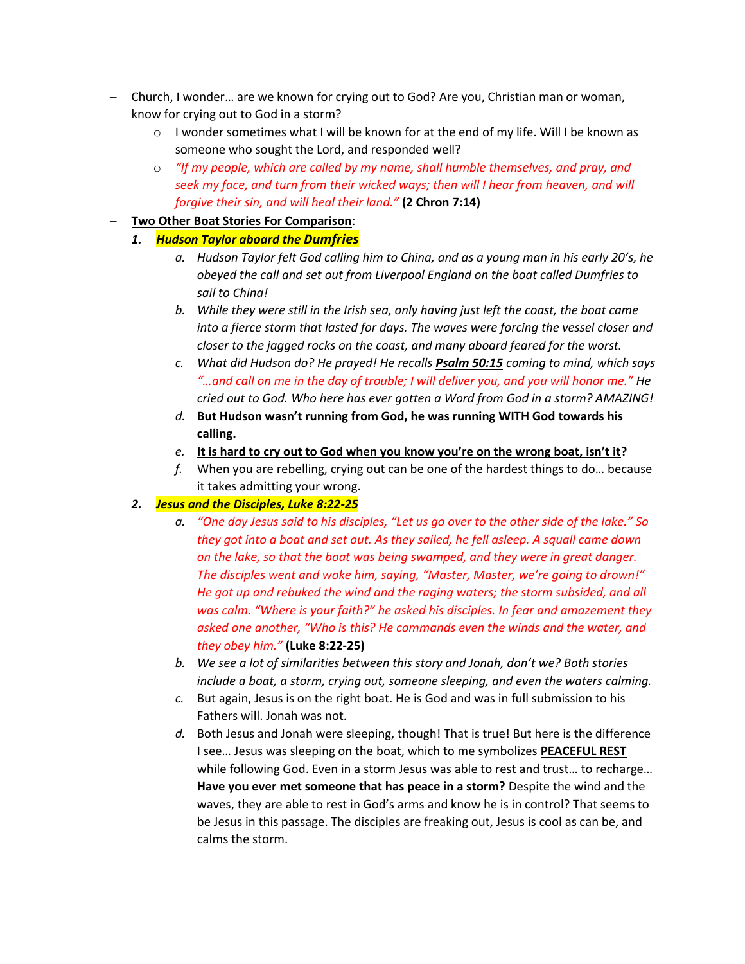- − Church, I wonder… are we known for crying out to God? Are you, Christian man or woman, know for crying out to God in a storm?
	- $\circ$  I wonder sometimes what I will be known for at the end of my life. Will I be known as someone who sought the Lord, and responded well?
	- o *"If my people, which are called by my name, shall humble themselves, and pray, and seek my face, and turn from their wicked ways; then will I hear from heaven, and will forgive their sin, and will heal their land."* **(2 Chron 7:14)**

#### − **Two Other Boat Stories For Comparison**:

- *1. Hudson Taylor aboard the Dumfries*
	- *a. Hudson Taylor felt God calling him to China, and as a young man in his early 20's, he obeyed the call and set out from Liverpool England on the boat called Dumfries to sail to China!*
	- *b. While they were still in the Irish sea, only having just left the coast, the boat came into a fierce storm that lasted for days. The waves were forcing the vessel closer and closer to the jagged rocks on the coast, and many aboard feared for the worst.*
	- *c. What did Hudson do? He prayed! He recalls Psalm 50:15 coming to mind, which says "…and call on me in the day of trouble; I will deliver you, and you will honor me." He cried out to God. Who here has ever gotten a Word from God in a storm? AMAZING!*
	- *d.* **But Hudson wasn't running from God, he was running WITH God towards his calling.**
	- *e.* **It is hard to cry out to God when you know you're on the wrong boat, isn't it?**
	- *f.* When you are rebelling, crying out can be one of the hardest things to do… because it takes admitting your wrong.

#### *2. Jesus and the Disciples, Luke 8:22-25*

- *a. "One day Jesus said to his disciples, "Let us go over to the other side of the lake." So they got into a boat and set out. As they sailed, he fell asleep. A squall came down on the lake, so that the boat was being swamped, and they were in great danger. The disciples went and woke him, saying, "Master, Master, we're going to drown!" He got up and rebuked the wind and the raging waters; the storm subsided, and all was calm. "Where is your faith?" he asked his disciples. In fear and amazement they asked one another, "Who is this? He commands even the winds and the water, and they obey him."* **(Luke 8:22-25)**
- *b. We see a lot of similarities between this story and Jonah, don't we? Both stories include a boat, a storm, crying out, someone sleeping, and even the waters calming.*
- *c.* But again, Jesus is on the right boat. He is God and was in full submission to his Fathers will. Jonah was not.
- *d.* Both Jesus and Jonah were sleeping, though! That is true! But here is the difference I see… Jesus was sleeping on the boat, which to me symbolizes **PEACEFUL REST** while following God. Even in a storm Jesus was able to rest and trust… to recharge… **Have you ever met someone that has peace in a storm?** Despite the wind and the waves, they are able to rest in God's arms and know he is in control? That seems to be Jesus in this passage. The disciples are freaking out, Jesus is cool as can be, and calms the storm.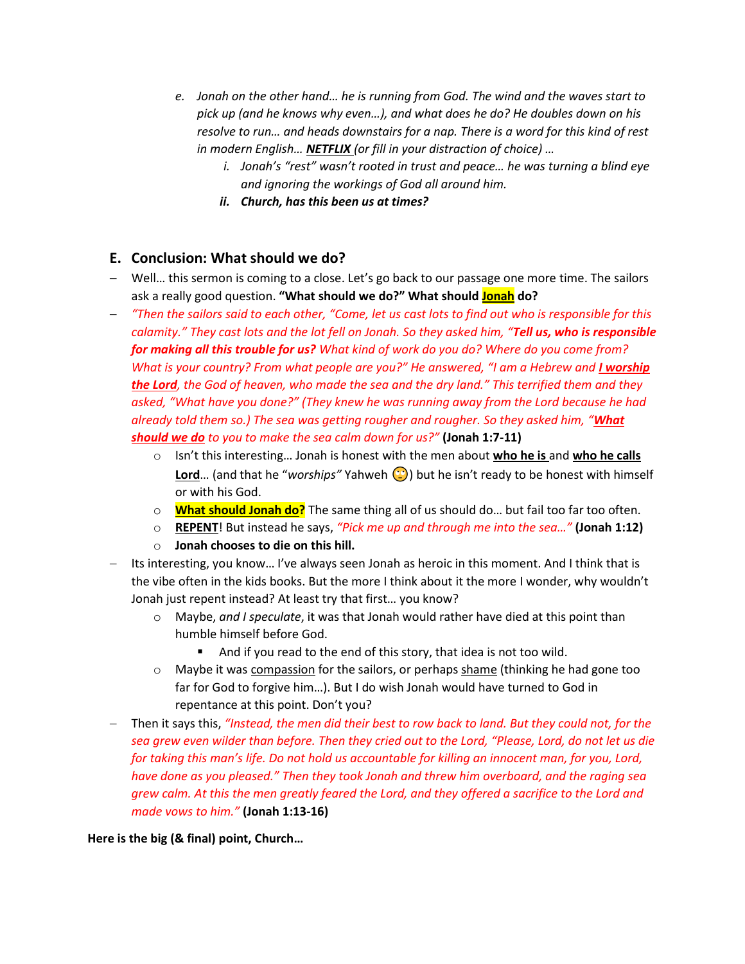- *e. Jonah on the other hand… he is running from God. The wind and the waves start to pick up (and he knows why even…), and what does he do? He doubles down on his resolve to run… and heads downstairs for a nap. There is a word for this kind of rest in modern English… NETFLIX (or fill in your distraction of choice) …* 
	- *i. Jonah's "rest" wasn't rooted in trust and peace… he was turning a blind eye and ignoring the workings of God all around him.*
	- *ii. Church, has this been us at times?*

### **E. Conclusion: What should we do?**

- − Well… this sermon is coming to a close. Let's go back to our passage one more time. The sailors ask a really good question. **"What should we do?" What should Jonah do?**
- − *"Then the sailors said to each other, "Come, let us cast lots to find out who is responsible for this calamity." They cast lots and the lot fell on Jonah. So they asked him, "Tell us, who is responsible for making all this trouble for us? What kind of work do you do? Where do you come from? What is your country? From what people are you?" He answered, "I am a Hebrew and <i>I worship the Lord, the God of heaven, who made the sea and the dry land." This terrified them and they asked, "What have you done?" (They knew he was running away from the Lord because he had already told them so.) The sea was getting rougher and rougher. So they asked him, "What should we do to you to make the sea calm down for us?"* **(Jonah 1:7-11)**
	- o Isn't this interesting… Jonah is honest with the men about **who he is** and **who he calls Lord**... (and that he "worships" Yahweh (C) but he isn't ready to be honest with himself or with his God.
	- o **What should Jonah do?** The same thing all of us should do… but fail too far too often.
	- o **REPENT**! But instead he says, *"Pick me up and through me into the sea…"* **(Jonah 1:12)**
	- o **Jonah chooses to die on this hill.**
- − Its interesting, you know… I've always seen Jonah as heroic in this moment. And I think that is the vibe often in the kids books. But the more I think about it the more I wonder, why wouldn't Jonah just repent instead? At least try that first… you know?
	- o Maybe, *and I speculate*, it was that Jonah would rather have died at this point than humble himself before God.
		- And if you read to the end of this story, that idea is not too wild.
	- $\circ$  Maybe it was compassion for the sailors, or perhaps shame (thinking he had gone too far for God to forgive him…). But I do wish Jonah would have turned to God in repentance at this point. Don't you?
- − Then it says this, *"Instead, the men did their best to row back to land. But they could not, for the sea grew even wilder than before. Then they cried out to the Lord, "Please, Lord, do not let us die for taking this man's life. Do not hold us accountable for killing an innocent man, for you, Lord, have done as you pleased." Then they took Jonah and threw him overboard, and the raging sea grew calm. At this the men greatly feared the Lord, and they offered a sacrifice to the Lord and made vows to him."* **(Jonah 1:13-16)**

**Here is the big (& final) point, Church…**